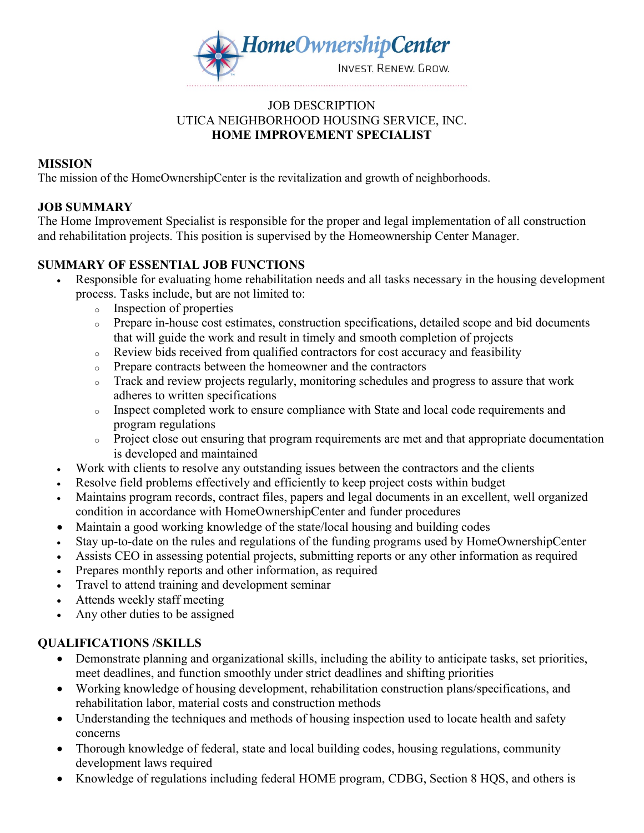

#### JOB DESCRIPTION UTICA NEIGHBORHOOD HOUSING SERVICE, INC. **HOME IMPROVEMENT SPECIALIST**

#### **MISSION**

The mission of the HomeOwnershipCenter is the revitalization and growth of neighborhoods.

### **JOB SUMMARY**

The Home Improvement Specialist is responsible for the proper and legal implementation of all construction and rehabilitation projects. This position is supervised by the Homeownership Center Manager.

## **SUMMARY OF ESSENTIAL JOB FUNCTIONS**

- Responsible for evaluating home rehabilitation needs and all tasks necessary in the housing development process. Tasks include, but are not limited to:
	- <sup>o</sup> Inspection of properties
	- <sup>o</sup> Prepare in-house cost estimates, construction specifications, detailed scope and bid documents that will guide the work and result in timely and smooth completion of projects
	- <sup>o</sup> Review bids received from qualified contractors for cost accuracy and feasibility
	- <sup>o</sup> Prepare contracts between the homeowner and the contractors
	- <sup>o</sup> Track and review projects regularly, monitoring schedules and progress to assure that work adheres to written specifications
	- <sup>o</sup> Inspect completed work to ensure compliance with State and local code requirements and program regulations
	- <sup>o</sup> Project close out ensuring that program requirements are met and that appropriate documentation is developed and maintained
- Work with clients to resolve any outstanding issues between the contractors and the clients
- Resolve field problems effectively and efficiently to keep project costs within budget
- Maintains program records, contract files, papers and legal documents in an excellent, well organized condition in accordance with HomeOwnershipCenter and funder procedures
- Maintain a good working knowledge of the state/local housing and building codes
- Stay up-to-date on the rules and regulations of the funding programs used by HomeOwnershipCenter
- Assists CEO in assessing potential projects, submitting reports or any other information as required
- Prepares monthly reports and other information, as required
- Travel to attend training and development seminar
- Attends weekly staff meeting
- Any other duties to be assigned

#### **QUALIFICATIONS /SKILLS**

- Demonstrate planning and organizational skills, including the ability to anticipate tasks, set priorities, meet deadlines, and function smoothly under strict deadlines and shifting priorities
- Working knowledge of housing development, rehabilitation construction plans/specifications, and rehabilitation labor, material costs and construction methods
- Understanding the techniques and methods of housing inspection used to locate health and safety concerns
- Thorough knowledge of federal, state and local building codes, housing regulations, community development laws required
- Knowledge of regulations including federal HOME program, CDBG, Section 8 HQS, and others is